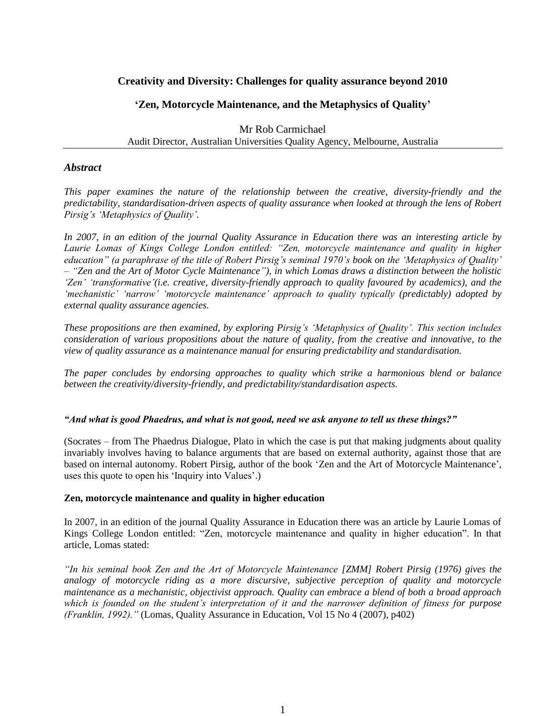# **Creativity and Diversity: Challenges for quality assurance beyond 2010**

## **'Zen, Motorcycle Maintenance, and the Metaphysics of Quality'**

Mr Rob Carmichael Audit Director, Australian Universities Quality Agency, Melbourne, Australia

### *Abstract*

*This paper examines the nature of the relationship between the creative, diversity-friendly and the predictability, standardisation-driven aspects of quality assurance when looked at through the lens of Robert Pirsig"s "Metaphysics of Quality".*

*In 2007, in an edition of the journal Quality Assurance in Education there was an interesting article by Laurie Lomas of Kings College London entitled: "Zen, motorcycle maintenance and quality in higher education" (a paraphrase of the title of Robert Pirsig"s seminal 1970"s book on the "Metaphysics of Quality" – "Zen and the Art of Motor Cycle Maintenance"), in which Lomas draws a distinction between the holistic "Zen" "transformative"(i.e. creative, diversity-friendly approach to quality favoured by academics), and the "mechanistic" "narrow" "motorcycle maintenance" approach to quality typically (predictably) adopted by external quality assurance agencies.* 

*These propositions are then examined, by exploring Pirsig"s "Metaphysics of Quality". This section includes consideration of various propositions about the nature of quality, from the creative and innovative, to the view of quality assurance as a maintenance manual for ensuring predictability and standardisation.*

*The paper concludes by endorsing approaches to quality which strike a harmonious blend or balance between the creativity/diversity-friendly, and predictability/standardisation aspects.*

#### *"And what is good Phaedrus, and what is not good, need we ask anyone to tell us these things?"*

(Socrates – from The Phaedrus Dialogue, Plato in which the case is put that making judgments about quality invariably involves having to balance arguments that are based on external authority, against those that are based on internal autonomy. Robert Pirsig, author of the book "Zen and the Art of Motorcycle Maintenance", uses this quote to open his "Inquiry into Values".)

#### **Zen, motorcycle maintenance and quality in higher education**

In 2007, in an edition of the journal Quality Assurance in Education there was an article by Laurie Lomas of Kings College London entitled: "Zen, motorcycle maintenance and quality in higher education". In that article, Lomas stated:

*"In his seminal book Zen and the Art of Motorcycle Maintenance [ZMM] Robert Pirsig (1976) gives the analogy of motorcycle riding as a more discursive, subjective perception of quality and motorcycle maintenance as a mechanistic, objectivist approach. Quality can embrace a blend of both a broad approach which is founded on the student"s interpretation of it and the narrower definition of fitness for purpose (Franklin, 1992)."* (Lomas, Quality Assurance in Education, Vol 15 No 4 (2007), p402)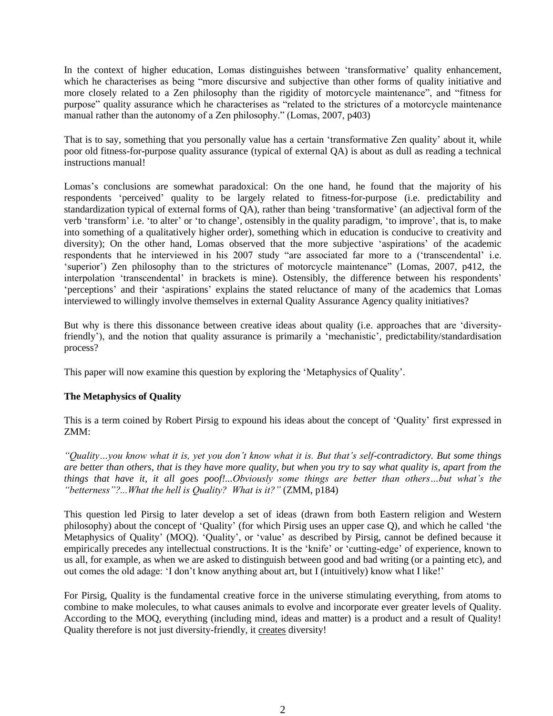In the context of higher education, Lomas distinguishes between 'transformative' quality enhancement, which he characterises as being "more discursive and subjective than other forms of quality initiative and more closely related to a Zen philosophy than the rigidity of motorcycle maintenance", and "fitness for purpose" quality assurance which he characterises as "related to the strictures of a motorcycle maintenance manual rather than the autonomy of a Zen philosophy." (Lomas, 2007, p403)

That is to say, something that you personally value has a certain "transformative Zen quality" about it, while poor old fitness-for-purpose quality assurance (typical of external QA) is about as dull as reading a technical instructions manual!

Lomas"s conclusions are somewhat paradoxical: On the one hand, he found that the majority of his respondents "perceived" quality to be largely related to fitness-for-purpose (i.e. predictability and standardization typical of external forms of QA), rather than being 'transformative' (an adjectival form of the verb 'transform' i.e. 'to alter' or 'to change', ostensibly in the quality paradigm, 'to improve', that is, to make into something of a qualitatively higher order), something which in education is conducive to creativity and diversity); On the other hand, Lomas observed that the more subjective 'aspirations' of the academic respondents that he interviewed in his 2007 study "are associated far more to a ("transcendental" i.e. 'superior') Zen philosophy than to the strictures of motorcycle maintenance" (Lomas, 2007, p412, the interpolation 'transcendental' in brackets is mine). Ostensibly, the difference between his respondents' "perceptions" and their "aspirations" explains the stated reluctance of many of the academics that Lomas interviewed to willingly involve themselves in external Quality Assurance Agency quality initiatives?

But why is there this dissonance between creative ideas about quality (i.e. approaches that are "diversityfriendly'), and the notion that quality assurance is primarily a 'mechanistic', predictability/standardisation process?

This paper will now examine this question by exploring the "Metaphysics of Quality".

# **The Metaphysics of Quality**

This is a term coined by Robert Pirsig to expound his ideas about the concept of "Quality" first expressed in ZMM:

*"Quality…you know what it is, yet you don"t know what it is. But that"s self-contradictory. But some things are better than others, that is they have more quality, but when you try to say what quality is, apart from the things that have it, it all goes poof!...Obviously some things are better than others…but what"s the "betterness"?...What the hell is Quality? What is it?"* (ZMM, p184)

This question led Pirsig to later develop a set of ideas (drawn from both Eastern religion and Western philosophy) about the concept of "Quality" (for which Pirsig uses an upper case Q), and which he called "the Metaphysics of Quality" (MOQ). "Quality", or "value" as described by Pirsig, cannot be defined because it empirically precedes any intellectual constructions. It is the "knife" or "cutting-edge" of experience, known to us all, for example, as when we are asked to distinguish between good and bad writing (or a painting etc), and out comes the old adage: "I don"t know anything about art, but I (intuitively) know what I like!"

For Pirsig, Quality is the fundamental creative force in the universe stimulating everything, from atoms to combine to make molecules, to what causes animals to evolve and incorporate ever greater levels of Quality. According to the MOQ, everything (including mind, ideas and matter) is a product and a result of Quality! Quality therefore is not just diversity-friendly, it creates diversity!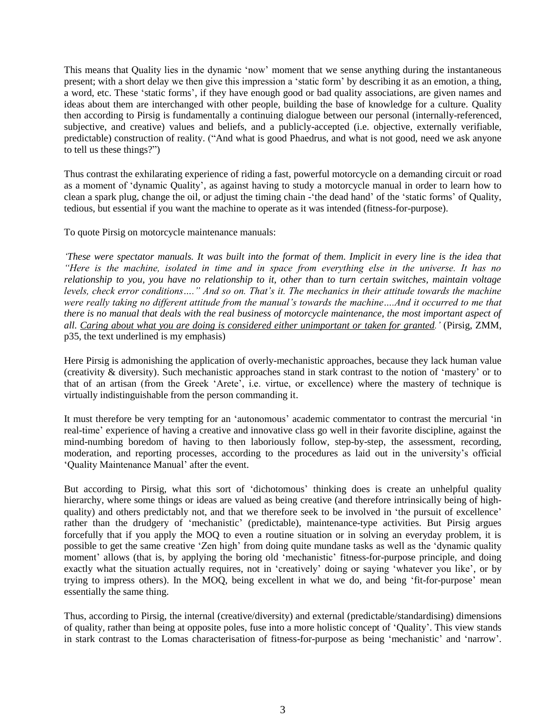This means that Quality lies in the dynamic "now" moment that we sense anything during the instantaneous present; with a short delay we then give this impression a "static form" by describing it as an emotion, a thing, a word, etc. These "static forms", if they have enough good or bad quality associations, are given names and ideas about them are interchanged with other people, building the base of knowledge for a culture. Quality then according to Pirsig is fundamentally a continuing dialogue between our personal (internally-referenced, subjective, and creative) values and beliefs, and a publicly-accepted (i.e. objective, externally verifiable, predictable) construction of reality. ("And what is good Phaedrus, and what is not good, need we ask anyone to tell us these things?")

Thus contrast the exhilarating experience of riding a fast, powerful motorcycle on a demanding circuit or road as a moment of "dynamic Quality", as against having to study a motorcycle manual in order to learn how to clean a spark plug, change the oil, or adjust the timing chain -"the dead hand" of the "static forms" of Quality, tedious, but essential if you want the machine to operate as it was intended (fitness-for-purpose).

To quote Pirsig on motorcycle maintenance manuals:

*"These were spectator manuals. It was built into the format of them. Implicit in every line is the idea that "Here is the machine, isolated in time and in space from everything else in the universe. It has no relationship to you, you have no relationship to it, other than to turn certain switches, maintain voltage levels, check error conditions…." And so on. That"s it. The mechanics in their attitude towards the machine were really taking no different attitude from the manual"s towards the machine….And it occurred to me that there is no manual that deals with the real business of motorcycle maintenance, the most important aspect of all. Caring about what you are doing is considered either unimportant or taken for granted."* (Pirsig, ZMM, p35, the text underlined is my emphasis)

Here Pirsig is admonishing the application of overly-mechanistic approaches, because they lack human value (creativity & diversity). Such mechanistic approaches stand in stark contrast to the notion of "mastery" or to that of an artisan (from the Greek 'Arete', i.e. virtue, or excellence) where the mastery of technique is virtually indistinguishable from the person commanding it.

It must therefore be very tempting for an "autonomous" academic commentator to contrast the mercurial "in real-time' experience of having a creative and innovative class go well in their favorite discipline, against the mind-numbing boredom of having to then laboriously follow, step-by-step, the assessment, recording, moderation, and reporting processes, according to the procedures as laid out in the university"s official "Quality Maintenance Manual" after the event.

But according to Pirsig, what this sort of "dichotomous" thinking does is create an unhelpful quality hierarchy, where some things or ideas are valued as being creative (and therefore intrinsically being of highquality) and others predictably not, and that we therefore seek to be involved in "the pursuit of excellence" rather than the drudgery of "mechanistic" (predictable), maintenance-type activities. But Pirsig argues forcefully that if you apply the MOQ to even a routine situation or in solving an everyday problem, it is possible to get the same creative "Zen high" from doing quite mundane tasks as well as the "dynamic quality moment' allows (that is, by applying the boring old 'mechanistic' fitness-for-purpose principle, and doing exactly what the situation actually requires, not in 'creatively' doing or saying 'whatever you like', or by trying to impress others). In the MOQ, being excellent in what we do, and being "fit-for-purpose" mean essentially the same thing.

Thus, according to Pirsig, the internal (creative/diversity) and external (predictable/standardising) dimensions of quality, rather than being at opposite poles, fuse into a more holistic concept of "Quality". This view stands in stark contrast to the Lomas characterisation of fitness-for-purpose as being "mechanistic" and "narrow".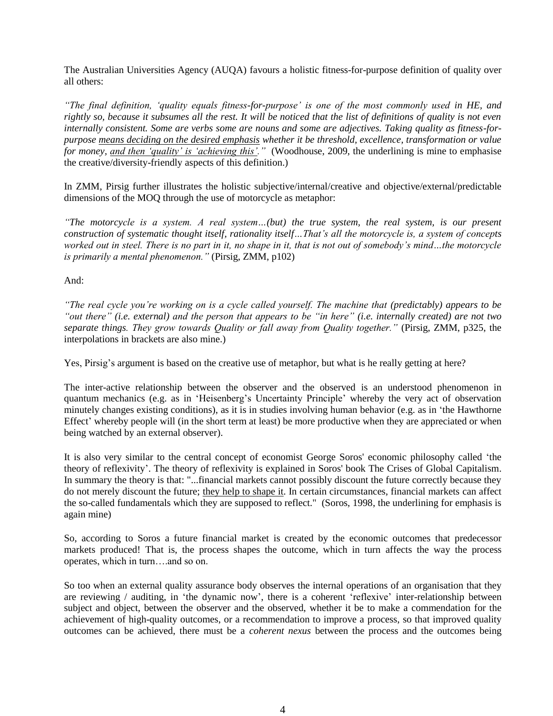The Australian Universities Agency (AUQA) favours a holistic fitness-for-purpose definition of quality over all others:

*"The final definition, "quality equals fitness-for-purpose" is one of the most commonly used in HE, and rightly so, because it subsumes all the rest. It will be noticed that the list of definitions of quality is not even internally consistent. Some are verbs some are nouns and some are adjectives. Taking quality as fitness-forpurpose means deciding on the desired emphasis whether it be threshold, excellence, transformation or value for money, and then 'quality' is 'achieving this'.*" (Woodhouse, 2009, the underlining is mine to emphasise the creative/diversity-friendly aspects of this definition.)

In ZMM, Pirsig further illustrates the holistic subjective/internal/creative and objective/external/predictable dimensions of the MOQ through the use of motorcycle as metaphor:

*"The motorcycle is a system. A real system…(but) the true system, the real system, is our present construction of systematic thought itself, rationality itself…That"s all the motorcycle is, a system of concepts worked out in steel. There is no part in it, no shape in it, that is not out of somebody"s mind…the motorcycle is primarily a mental phenomenon."* (Pirsig, ZMM, p102)

And:

*"The real cycle you"re working on is a cycle called yourself. The machine that (predictably) appears to be "out there" (i.e. external) and the person that appears to be "in here" (i.e. internally created) are not two separate things. They grow towards Quality or fall away from Quality together."* (Pirsig, ZMM, p325, the interpolations in brackets are also mine.)

Yes, Pirsig's argument is based on the creative use of metaphor, but what is he really getting at here?

The inter-active relationship between the observer and the observed is an understood phenomenon in quantum mechanics (e.g. as in "Heisenberg"s Uncertainty Principle" whereby the very act of observation minutely changes existing conditions), as it is in studies involving human behavior (e.g. as in "the Hawthorne Effect' whereby people will (in the short term at least) be more productive when they are appreciated or when being watched by an external observer).

It is also very similar to the central concept of economist George Soros' economic philosophy called "the theory of reflexivity". The theory of reflexivity is explained in Soros' book The Crises of Global Capitalism. In summary the theory is that: "...financial markets cannot possibly discount the future correctly because they do not merely discount the future; they help to shape it. In certain circumstances, financial markets can affect the so-called fundamentals which they are supposed to reflect." (Soros, 1998, the underlining for emphasis is again mine)

So, according to Soros a future financial market is created by the economic outcomes that predecessor markets produced! That is, the process shapes the outcome, which in turn affects the way the process operates, which in turn….and so on.

So too when an external quality assurance body observes the internal operations of an organisation that they are reviewing / auditing, in 'the dynamic now', there is a coherent 'reflexive' inter-relationship between subject and object, between the observer and the observed, whether it be to make a commendation for the achievement of high-quality outcomes, or a recommendation to improve a process, so that improved quality outcomes can be achieved, there must be a *coherent nexus* between the process and the outcomes being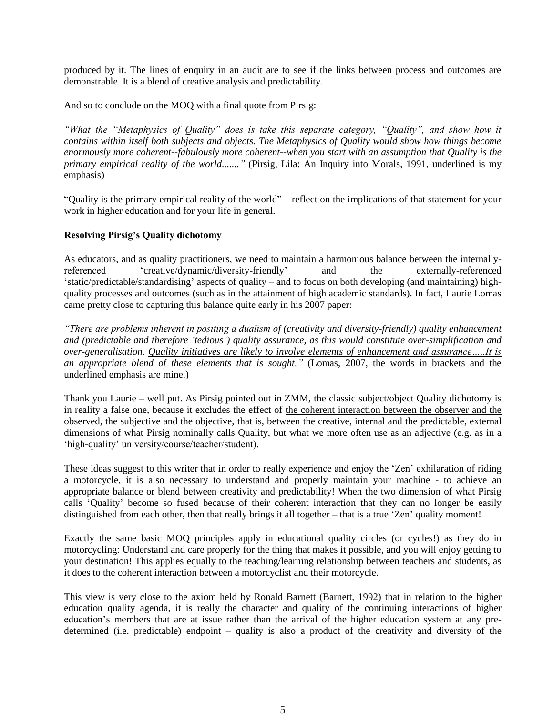produced by it. The lines of enquiry in an audit are to see if the links between process and outcomes are demonstrable. It is a blend of creative analysis and predictability.

And so to conclude on the MOQ with a final quote from Pirsig:

*"What the "Metaphysics of Quality" does is take this separate category, "Quality", and show how it contains within itself both subjects and objects. The Metaphysics of Quality would show how things become enormously more coherent--fabulously more coherent--when you start with an assumption that Quality is the primary empirical reality of the world......."* (Pirsig, Lila: An Inquiry into Morals, 1991, underlined is my emphasis)

"Quality is the primary empirical reality of the world" – reflect on the implications of that statement for your work in higher education and for your life in general.

## **Resolving Pirsig's Quality dichotomy**

As educators, and as quality practitioners, we need to maintain a harmonious balance between the internallyreferenced "creative/dynamic/diversity-friendly" and the externally-referenced 'static/predictable/standardising' aspects of quality – and to focus on both developing (and maintaining) highquality processes and outcomes (such as in the attainment of high academic standards). In fact, Laurie Lomas came pretty close to capturing this balance quite early in his 2007 paper:

*"There are problems inherent in positing a dualism of (creativity and diversity-friendly) quality enhancement and (predictable and therefore "tedious") quality assurance, as this would constitute over-simplification and over-generalisation. Quality initiatives are likely to involve elements of enhancement and assurance…..It is an appropriate blend of these elements that is sought."* (Lomas, 2007, the words in brackets and the underlined emphasis are mine.)

Thank you Laurie – well put. As Pirsig pointed out in ZMM, the classic subject/object Quality dichotomy is in reality a false one, because it excludes the effect of the coherent interaction between the observer and the observed, the subjective and the objective, that is, between the creative, internal and the predictable, external dimensions of what Pirsig nominally calls Quality, but what we more often use as an adjective (e.g. as in a "high-quality" university/course/teacher/student).

These ideas suggest to this writer that in order to really experience and enjoy the "Zen" exhilaration of riding a motorcycle, it is also necessary to understand and properly maintain your machine - to achieve an appropriate balance or blend between creativity and predictability! When the two dimension of what Pirsig calls "Quality" become so fused because of their coherent interaction that they can no longer be easily distinguished from each other, then that really brings it all together – that is a true 'Zen' quality moment!

Exactly the same basic MOQ principles apply in educational quality circles (or cycles!) as they do in motorcycling: Understand and care properly for the thing that makes it possible, and you will enjoy getting to your destination! This applies equally to the teaching/learning relationship between teachers and students, as it does to the coherent interaction between a motorcyclist and their motorcycle.

This view is very close to the axiom held by Ronald Barnett (Barnett, 1992) that in relation to the higher education quality agenda, it is really the character and quality of the continuing interactions of higher education"s members that are at issue rather than the arrival of the higher education system at any predetermined (i.e. predictable) endpoint – quality is also a product of the creativity and diversity of the